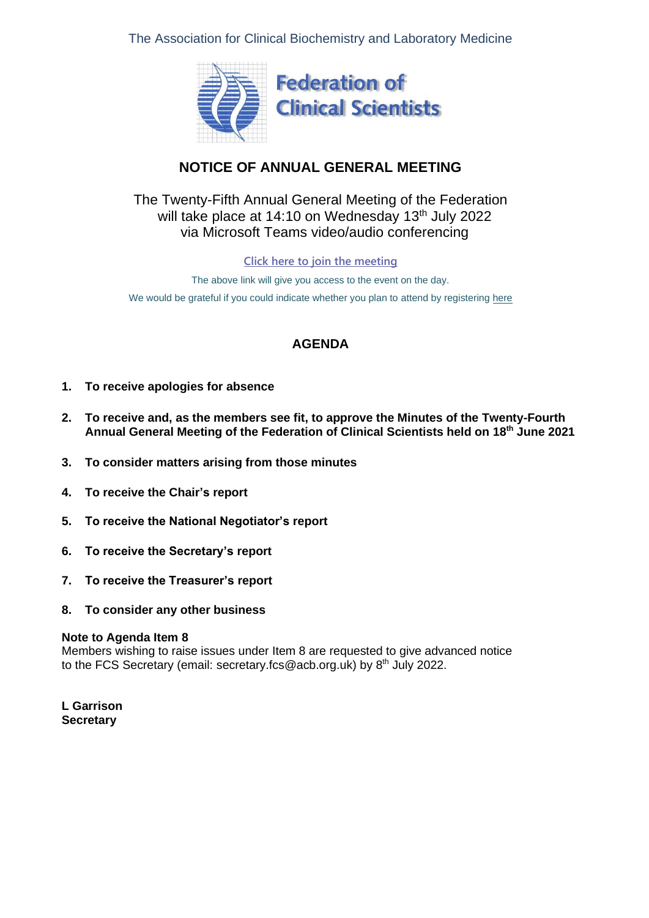The Association for Clinical Biochemistry and Laboratory Medicine



# **NOTICE OF ANNUAL GENERAL MEETING**

# The Twenty-Fifth Annual General Meeting of the Federation will take place at 14:10 on Wednesday 13<sup>th</sup> July 2022 via Microsoft Teams video/audio conferencing

**[Click here to join the meeting](https://teams.microsoft.com/l/meetup-join/19%3ameeting_MGYyOWRjNmItMDEyYy00M2I4LWFlMTAtNDhiN2Y2M2U0MzYw%40thread.v2/0?context=%7b%22Tid%22%3a%2279ed3ed4-8116-47c5-95f1-086c613dce38%22%2c%22Oid%22%3a%222fe2821f-49ef-446d-bb60-2fb2b1003a36%22%7d)**

The above link will give you access to the event on the day. We would be grateful if you could indicate whether you plan to attend by registering [here](https://www.acb.org.uk/events-and-awards/event-calendar/acb-fcs-annual-general-meetings.html)

# **AGENDA**

- **1. To receive apologies for absence**
- **2. To receive and, as the members see fit, to approve the Minutes of the Twenty-Fourth Annual General Meeting of the Federation of Clinical Scientists held on 18th June 2021**
- **3. To consider matters arising from those minutes**
- **4. To receive the Chair's report**
- **5. To receive the National Negotiator's report**
- **6. To receive the Secretary's report**
- **7. To receive the Treasurer's report**
- **8. To consider any other business**

### **Note to Agenda Item 8**

Members wishing to raise issues under Item 8 are requested to give advanced notice to the FCS Secretary (email: [secretary.fcs@acb.org.uk\)](mailto:secretary.fcs@acb.org.uk) by 8<sup>th</sup> July 2022.

**L Garrison Secretary**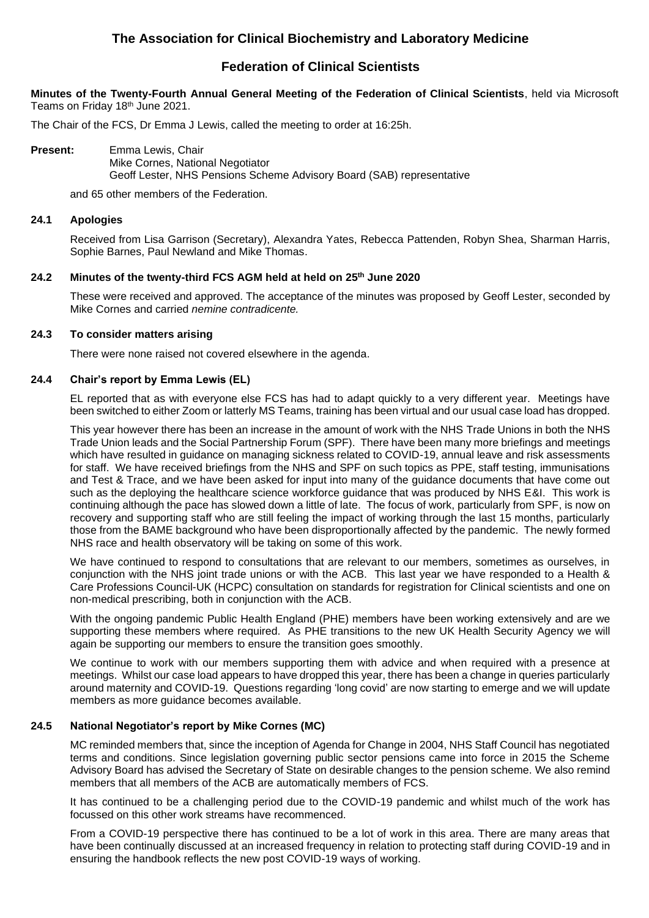## **The Association for Clinical Biochemistry and Laboratory Medicine**

## **Federation of Clinical Scientists**

**Minutes of the Twenty-Fourth Annual General Meeting of the Federation of Clinical Scientists**, held via Microsoft Teams on Friday 18th June 2021.

The Chair of the FCS, Dr Emma J Lewis, called the meeting to order at 16:25h.

**Present:** Emma Lewis, Chair Mike Cornes, National Negotiator Geoff Lester, NHS Pensions Scheme Advisory Board (SAB) representative

and 65 other members of the Federation.

#### **24.1 Apologies**

Received from Lisa Garrison (Secretary), Alexandra Yates, Rebecca Pattenden, Robyn Shea, Sharman Harris, Sophie Barnes, Paul Newland and Mike Thomas.

### **24.2 Minutes of the twenty-third FCS AGM held at held on 25th June 2020**

These were received and approved. The acceptance of the minutes was proposed by Geoff Lester, seconded by Mike Cornes and carried *nemine contradicente.*

#### **24.3 To consider matters arising**

There were none raised not covered elsewhere in the agenda.

#### **24.4 Chair's report by Emma Lewis (EL)**

EL reported that as with everyone else FCS has had to adapt quickly to a very different year. Meetings have been switched to either Zoom or latterly MS Teams, training has been virtual and our usual case load has dropped.

This year however there has been an increase in the amount of work with the NHS Trade Unions in both the NHS Trade Union leads and the Social Partnership Forum (SPF). There have been many more briefings and meetings which have resulted in guidance on managing sickness related to COVID-19, annual leave and risk assessments for staff. We have received briefings from the NHS and SPF on such topics as PPE, staff testing, immunisations and Test & Trace, and we have been asked for input into many of the guidance documents that have come out such as the deploying the healthcare science workforce guidance that was produced by NHS E&I. This work is continuing although the pace has slowed down a little of late. The focus of work, particularly from SPF, is now on recovery and supporting staff who are still feeling the impact of working through the last 15 months, particularly those from the BAME background who have been disproportionally affected by the pandemic. The newly formed NHS race and health observatory will be taking on some of this work.

We have continued to respond to consultations that are relevant to our members, sometimes as ourselves, in conjunction with the NHS joint trade unions or with the ACB. This last year we have responded to a Health & Care Professions Council-UK (HCPC) consultation on standards for registration for Clinical scientists and one on non-medical prescribing, both in conjunction with the ACB.

With the ongoing pandemic Public Health England (PHE) members have been working extensively and are we supporting these members where required. As PHE transitions to the new UK Health Security Agency we will again be supporting our members to ensure the transition goes smoothly.

We continue to work with our members supporting them with advice and when required with a presence at meetings. Whilst our case load appears to have dropped this year, there has been a change in queries particularly around maternity and COVID-19. Questions regarding 'long covid' are now starting to emerge and we will update members as more guidance becomes available.

#### **24.5 National Negotiator's report by Mike Cornes (MC)**

MC reminded members that, since the inception of Agenda for Change in 2004, NHS Staff Council has negotiated terms and conditions. Since legislation governing public sector pensions came into force in 2015 the Scheme Advisory Board has advised the Secretary of State on desirable changes to the pension scheme. We also remind members that all members of the ACB are automatically members of FCS.

It has continued to be a challenging period due to the COVID-19 pandemic and whilst much of the work has focussed on this other work streams have recommenced.

From a COVID-19 perspective there has continued to be a lot of work in this area. There are many areas that have been continually discussed at an increased frequency in relation to protecting staff during COVID-19 and in ensuring the handbook reflects the new post COVID-19 ways of working.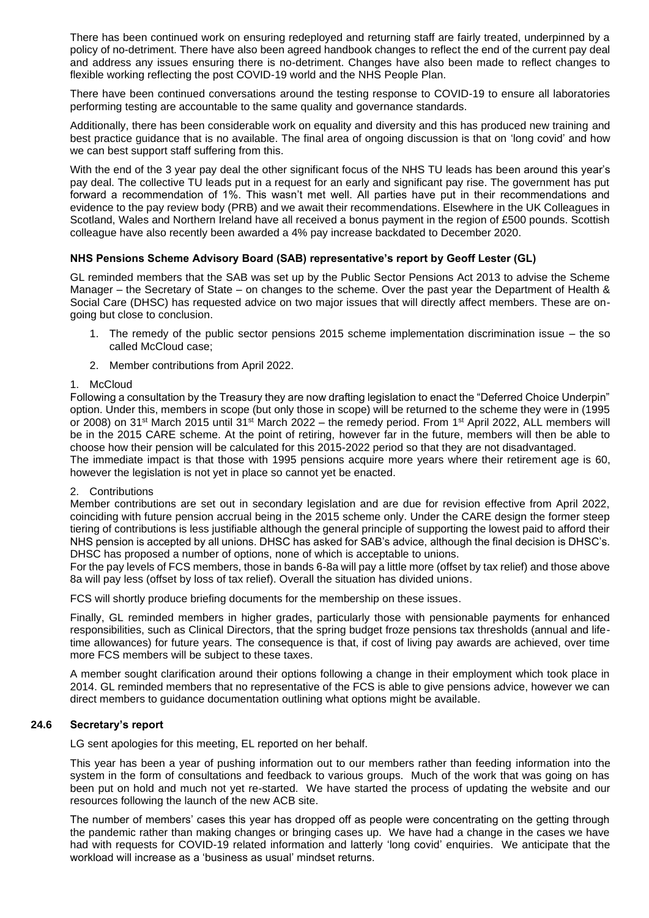There has been continued work on ensuring redeployed and returning staff are fairly treated, underpinned by a policy of no-detriment. There have also been agreed handbook changes to reflect the end of the current pay deal and address any issues ensuring there is no-detriment. Changes have also been made to reflect changes to flexible working reflecting the post COVID-19 world and the NHS People Plan.

There have been continued conversations around the testing response to COVID-19 to ensure all laboratories performing testing are accountable to the same quality and governance standards.

Additionally, there has been considerable work on equality and diversity and this has produced new training and best practice guidance that is no available. The final area of ongoing discussion is that on 'long covid' and how we can best support staff suffering from this.

With the end of the 3 year pay deal the other significant focus of the NHS TU leads has been around this year's pay deal. The collective TU leads put in a request for an early and significant pay rise. The government has put forward a recommendation of 1%. This wasn't met well. All parties have put in their recommendations and evidence to the pay review body (PRB) and we await their recommendations. Elsewhere in the UK Colleagues in Scotland, Wales and Northern Ireland have all received a bonus payment in the region of £500 pounds. Scottish colleague have also recently been awarded a 4% pay increase backdated to December 2020.

#### **NHS Pensions Scheme Advisory Board (SAB) representative's report by Geoff Lester (GL)**

GL reminded members that the SAB was set up by the Public Sector Pensions Act 2013 to advise the Scheme Manager – the Secretary of State – on changes to the scheme. Over the past year the Department of Health & Social Care (DHSC) has requested advice on two major issues that will directly affect members. These are ongoing but close to conclusion.

- 1. The remedy of the public sector pensions 2015 scheme implementation discrimination issue the so called McCloud case;
- 2. Member contributions from April 2022.

#### 1. McCloud

Following a consultation by the Treasury they are now drafting legislation to enact the "Deferred Choice Underpin" option. Under this, members in scope (but only those in scope) will be returned to the scheme they were in (1995 or 2008) on 31st March 2015 until 31st March 2022 – the remedy period. From 1st April 2022, ALL members will be in the 2015 CARE scheme. At the point of retiring, however far in the future, members will then be able to choose how their pension will be calculated for this 2015-2022 period so that they are not disadvantaged. The immediate impact is that those with 1995 pensions acquire more years where their retirement age is 60,

### however the legislation is not yet in place so cannot yet be enacted. 2. Contributions

Member contributions are set out in secondary legislation and are due for revision effective from April 2022, coinciding with future pension accrual being in the 2015 scheme only. Under the CARE design the former steep tiering of contributions is less justifiable although the general principle of supporting the lowest paid to afford their NHS pension is accepted by all unions. DHSC has asked for SAB's advice, although the final decision is DHSC's. DHSC has proposed a number of options, none of which is acceptable to unions.

For the pay levels of FCS members, those in bands 6-8a will pay a little more (offset by tax relief) and those above 8a will pay less (offset by loss of tax relief). Overall the situation has divided unions.

FCS will shortly produce briefing documents for the membership on these issues.

Finally, GL reminded members in higher grades, particularly those with pensionable payments for enhanced responsibilities, such as Clinical Directors, that the spring budget froze pensions tax thresholds (annual and lifetime allowances) for future years. The consequence is that, if cost of living pay awards are achieved, over time more FCS members will be subject to these taxes.

A member sought clarification around their options following a change in their employment which took place in 2014. GL reminded members that no representative of the FCS is able to give pensions advice, however we can direct members to guidance documentation outlining what options might be available.

#### **24.6 Secretary's report**

LG sent apologies for this meeting, EL reported on her behalf.

This year has been a year of pushing information out to our members rather than feeding information into the system in the form of consultations and feedback to various groups. Much of the work that was going on has been put on hold and much not yet re-started. We have started the process of updating the website and our resources following the launch of the new ACB site.

The number of members' cases this year has dropped off as people were concentrating on the getting through the pandemic rather than making changes or bringing cases up. We have had a change in the cases we have had with requests for COVID-19 related information and latterly 'long covid' enquiries. We anticipate that the workload will increase as a 'business as usual' mindset returns.